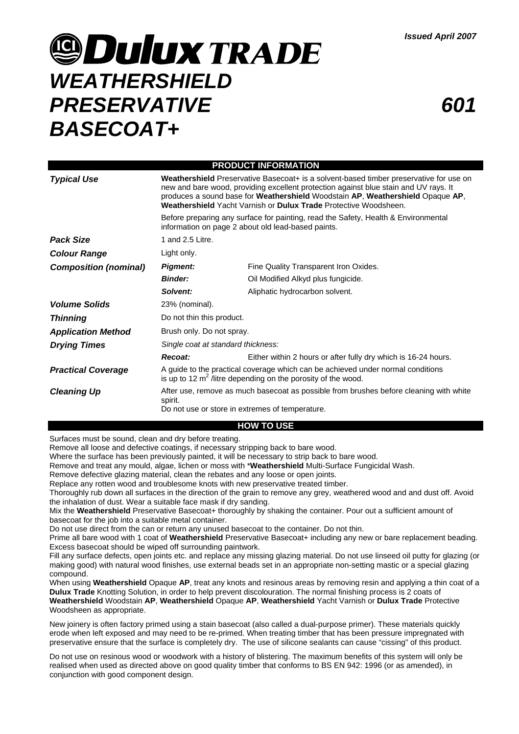# **9 Dulux TRADE** *WEATHERSHIELD PRESERVATIVE BASECOAT+*

| <b>PRODUCT INFORMATION</b>   |                                                                                                                                                                                                                                                                                                                                                                                                                                                                                  |                                                                |
|------------------------------|----------------------------------------------------------------------------------------------------------------------------------------------------------------------------------------------------------------------------------------------------------------------------------------------------------------------------------------------------------------------------------------------------------------------------------------------------------------------------------|----------------------------------------------------------------|
| <b>Typical Use</b>           | Weathershield Preservative Basecoat+ is a solvent-based timber preservative for use on<br>new and bare wood, providing excellent protection against blue stain and UV rays. It<br>produces a sound base for Weathershield Woodstain AP, Weathershield Opaque AP,<br>Weathershield Yacht Varnish or Dulux Trade Protective Woodsheen.<br>Before preparing any surface for painting, read the Safety, Health & Environmental<br>information on page 2 about old lead-based paints. |                                                                |
|                              |                                                                                                                                                                                                                                                                                                                                                                                                                                                                                  |                                                                |
| <b>Pack Size</b>             | 1 and 2.5 Litre.                                                                                                                                                                                                                                                                                                                                                                                                                                                                 |                                                                |
| <b>Colour Range</b>          | Light only.                                                                                                                                                                                                                                                                                                                                                                                                                                                                      |                                                                |
| <b>Composition (nominal)</b> | <b>Pigment:</b>                                                                                                                                                                                                                                                                                                                                                                                                                                                                  | Fine Quality Transparent Iron Oxides.                          |
|                              | <b>Binder:</b>                                                                                                                                                                                                                                                                                                                                                                                                                                                                   | Oil Modified Alkyd plus fungicide.                             |
|                              | Solvent:                                                                                                                                                                                                                                                                                                                                                                                                                                                                         | Aliphatic hydrocarbon solvent.                                 |
| <b>Volume Solids</b>         | 23% (nominal).                                                                                                                                                                                                                                                                                                                                                                                                                                                                   |                                                                |
| <b>Thinning</b>              | Do not thin this product.                                                                                                                                                                                                                                                                                                                                                                                                                                                        |                                                                |
| <b>Application Method</b>    | Brush only. Do not spray.                                                                                                                                                                                                                                                                                                                                                                                                                                                        |                                                                |
| <b>Drying Times</b>          | Single coat at standard thickness:                                                                                                                                                                                                                                                                                                                                                                                                                                               |                                                                |
|                              | Recoat:                                                                                                                                                                                                                                                                                                                                                                                                                                                                          | Either within 2 hours or after fully dry which is 16-24 hours. |
| <b>Practical Coverage</b>    | A guide to the practical coverage which can be achieved under normal conditions<br>is up to 12 $m^2$ /litre depending on the porosity of the wood.                                                                                                                                                                                                                                                                                                                               |                                                                |
| <b>Cleaning Up</b>           | After use, remove as much basecoat as possible from brushes before cleaning with white<br>spirit.<br>Do not use or store in extremes of temperature.                                                                                                                                                                                                                                                                                                                             |                                                                |

#### **HOW TO USE**

Surfaces must be sound, clean and dry before treating.

Remove all loose and defective coatings, if necessary stripping back to bare wood.

Where the surface has been previously painted, it will be necessary to strip back to bare wood.

Remove and treat any mould, algae, lichen or moss with \***Weathershield** Multi-Surface Fungicidal Wash.

Remove defective glazing material, clean the rebates and any loose or open joints.

Replace any rotten wood and troublesome knots with new preservative treated timber.

Thoroughly rub down all surfaces in the direction of the grain to remove any grey, weathered wood and and dust off. Avoid the inhalation of dust. Wear a suitable face mask if dry sanding.

Mix the **Weathershield** Preservative Basecoat+ thoroughly by shaking the container. Pour out a sufficient amount of basecoat for the job into a suitable metal container.

Do not use direct from the can or return any unused basecoat to the container. Do not thin.

Prime all bare wood with 1 coat of Weathershield Preservative Basecoat+ including any new or bare replacement beading. Excess basecoat should be wiped off surrounding paintwork.

Fill any surface defects, open joints etc. and replace any missing glazing material. Do not use linseed oil putty for glazing (or making good) with natural wood finishes, use external beads set in an appropriate non-setting mastic or a special glazing compound.

When using **Weathershield** Opaque **AP**, treat any knots and resinous areas by removing resin and applying a thin coat of a **Dulux Trade** Knotting Solution, in order to help prevent discolouration. The normal finishing process is 2 coats of **Weathershield** Woodstain **AP**, **Weathershield** Opaque **AP**, **Weathershield** Yacht Varnish or **Dulux Trade** Protective Woodsheen as appropriate.

New joinery is often factory primed using a stain basecoat (also called a dual-purpose primer). These materials quickly erode when left exposed and may need to be re-primed. When treating timber that has been pressure impregnated with preservative ensure that the surface is completely dry. The use of silicone sealants can cause "cissing" of this product.

Do not use on resinous wood or woodwork with a history of blistering. The maximum benefits of this system will only be realised when used as directed above on good quality timber that conforms to BS EN 942: 1996 (or as amended), in conjunction with good component design.